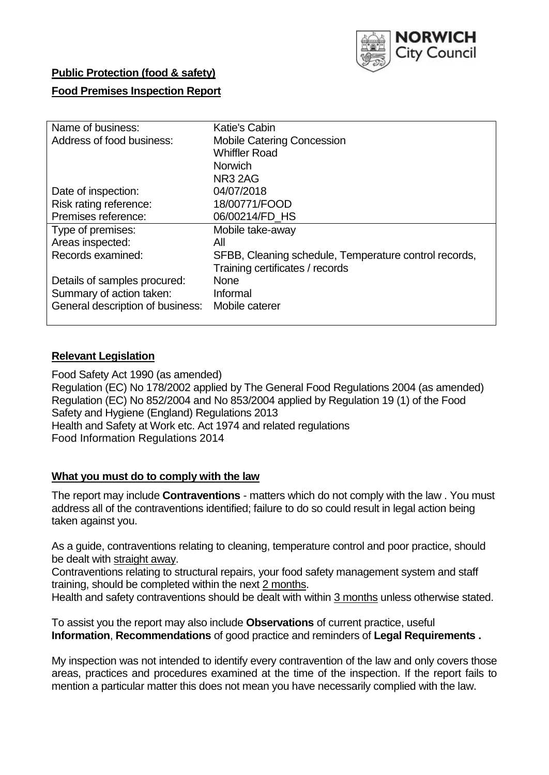

# **Public Protection (food & safety)**

## **Food Premises Inspection Report**

| Name of business:                | Katie's Cabin                                         |  |  |  |  |  |
|----------------------------------|-------------------------------------------------------|--|--|--|--|--|
| Address of food business:        | <b>Mobile Catering Concession</b>                     |  |  |  |  |  |
|                                  | <b>Whiffler Road</b>                                  |  |  |  |  |  |
|                                  | <b>Norwich</b>                                        |  |  |  |  |  |
|                                  | NR <sub>3</sub> 2AG                                   |  |  |  |  |  |
| Date of inspection:              | 04/07/2018                                            |  |  |  |  |  |
| Risk rating reference:           | 18/00771/FOOD                                         |  |  |  |  |  |
| Premises reference:              | 06/00214/FD HS                                        |  |  |  |  |  |
| Type of premises:                | Mobile take-away                                      |  |  |  |  |  |
| Areas inspected:                 | All                                                   |  |  |  |  |  |
| Records examined:                | SFBB, Cleaning schedule, Temperature control records, |  |  |  |  |  |
|                                  | Training certificates / records                       |  |  |  |  |  |
| Details of samples procured:     | <b>None</b>                                           |  |  |  |  |  |
| Summary of action taken:         | Informal                                              |  |  |  |  |  |
| General description of business: | Mobile caterer                                        |  |  |  |  |  |
|                                  |                                                       |  |  |  |  |  |

## **Relevant Legislation**

Food Safety Act 1990 (as amended) Regulation (EC) No 178/2002 applied by The General Food Regulations 2004 (as amended) Regulation (EC) No 852/2004 and No 853/2004 applied by Regulation 19 (1) of the Food Safety and Hygiene (England) Regulations 2013 Health and Safety at Work etc. Act 1974 and related regulations Food Information Regulations 2014

#### **What you must do to comply with the law**

The report may include **Contraventions** - matters which do not comply with the law . You must address all of the contraventions identified; failure to do so could result in legal action being taken against you.

As a guide, contraventions relating to cleaning, temperature control and poor practice, should be dealt with straight away.

Contraventions relating to structural repairs, your food safety management system and staff training, should be completed within the next 2 months.

Health and safety contraventions should be dealt with within 3 months unless otherwise stated.

To assist you the report may also include **Observations** of current practice, useful **Information**, **Recommendations** of good practice and reminders of **Legal Requirements .**

My inspection was not intended to identify every contravention of the law and only covers those areas, practices and procedures examined at the time of the inspection. If the report fails to mention a particular matter this does not mean you have necessarily complied with the law.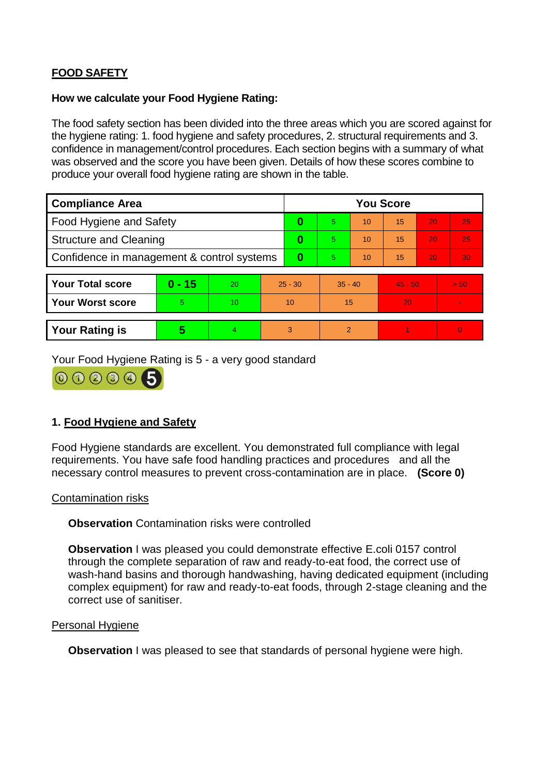# **FOOD SAFETY**

## **How we calculate your Food Hygiene Rating:**

The food safety section has been divided into the three areas which you are scored against for the hygiene rating: 1. food hygiene and safety procedures, 2. structural requirements and 3. confidence in management/control procedures. Each section begins with a summary of what was observed and the score you have been given. Details of how these scores combine to produce your overall food hygiene rating are shown in the table.

| <b>Compliance Area</b>                     |          |    |           | <b>You Score</b> |           |    |           |    |                |  |  |
|--------------------------------------------|----------|----|-----------|------------------|-----------|----|-----------|----|----------------|--|--|
| Food Hygiene and Safety                    |          |    | 0         | $\overline{5}$   | 10        | 15 | 20        | 25 |                |  |  |
| <b>Structure and Cleaning</b>              |          |    | $\bf{0}$  | 5.               | 10        | 15 | 20        | 25 |                |  |  |
| Confidence in management & control systems |          |    | 0         | 5                | 10        | 15 | 20        | 30 |                |  |  |
|                                            |          |    |           |                  |           |    |           |    |                |  |  |
| <b>Your Total score</b>                    | $0 - 15$ | 20 | $25 - 30$ |                  | $35 - 40$ |    | $45 - 50$ |    | > 50           |  |  |
| Your Worst score                           | 5        | 10 | 10        |                  | 15        |    | 20        |    |                |  |  |
|                                            |          |    |           |                  |           |    |           |    |                |  |  |
| <b>Your Rating is</b>                      | 5        | 4. | 3         |                  | 2         |    |           |    | $\overline{0}$ |  |  |

Your Food Hygiene Rating is 5 - a very good standard



# **1. Food Hygiene and Safety**

Food Hygiene standards are excellent. You demonstrated full compliance with legal requirements. You have safe food handling practices and procedures and all the necessary control measures to prevent cross-contamination are in place. **(Score 0)**

## Contamination risks

**Observation** Contamination risks were controlled

**Observation** I was pleased you could demonstrate effective E.coli 0157 control through the complete separation of raw and ready-to-eat food, the correct use of wash-hand basins and thorough handwashing, having dedicated equipment (including complex equipment) for raw and ready-to-eat foods, through 2-stage cleaning and the correct use of sanitiser.

#### Personal Hygiene

**Observation** I was pleased to see that standards of personal hygiene were high.